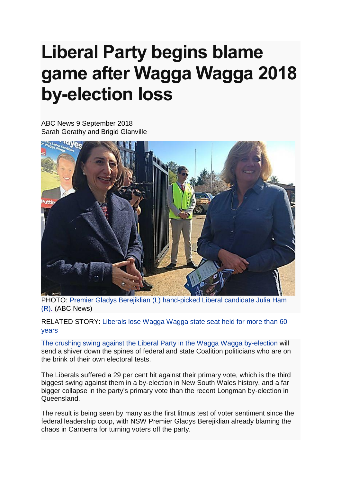## **Liberal Party begins blame game after Wagga Wagga 2018 by-election loss**

ABC News 9 September 2018 Sarah Gerathy and Brigid Glanville



PHOTO: Premier Gladys Berejiklian (L) [hand-picked Liberal candidate Julia Ham](http://www.abc.net.au/news/2018-09-09/gladys-berejiklian-and-julia-ham/10218926)  (R). [\(ABC News\)](http://www.abc.net.au/news/2018-09-09/gladys-berejiklian-and-julia-ham/10218926)

RELATED STORY: [Liberals lose Wagga Wagga state seat held for more than 60](http://www.abc.net.au/news/2018-09-08/liberals-lose-wagga-wagga-by-election/10217434)  [years](http://www.abc.net.au/news/2018-09-08/liberals-lose-wagga-wagga-by-election/10217434)

The [crushing swing against the Liberal Party in the Wagga Wagga by-election](http://www.abc.net.au/news/2018-09-08/liberals-lose-wagga-wagga-by-election/10217434) will send a shiver down the spines of federal and state Coalition politicians who are on the brink of their own electoral tests.

The Liberals suffered a 29 per cent hit against their primary vote, which is the third biggest swing against them in a by-election in New South Wales history, and a far bigger collapse in the party's primary vote than the recent Longman by-election in Queensland.

The result is being seen by many as the first litmus test of voter sentiment since the federal leadership coup, with NSW Premier Gladys Berejiklian already blaming the chaos in Canberra for turning voters off the party.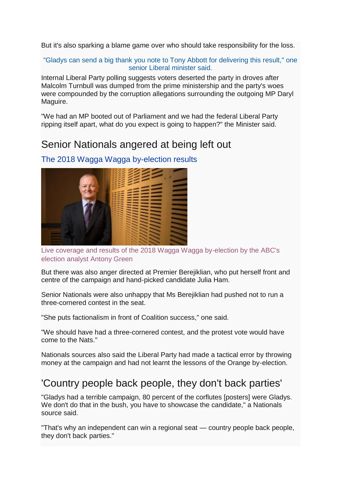But it's also sparking a blame game over who should take responsibility for the loss.

## "Gladys can send a big thank you note to Tony Abbott for delivering this result," one senior Liberal minister said.

Internal Liberal Party polling suggests voters deserted the party in droves after Malcolm Turnbull was dumped from the prime ministership and the party's woes were compounded by the corruption allegations surrounding the outgoing MP Daryl Maguire.

"We had an MP booted out of Parliament and we had the federal Liberal Party ripping itself apart, what do you expect is going to happen?" the Minister said.

## Senior Nationals angered at being left ou[t](http://www.abc.net.au/news/elections/wagga-wagga-by-election-2018/results/)



[The 2018 Wagga Wagga by-election results](http://www.abc.net.au/news/elections/wagga-wagga-by-election-2018/results/)

Live [coverage and results of the 2018 Wagga Wagga by-election by the ABC's](http://www.abc.net.au/news/elections/wagga-wagga-by-election-2018/results/)  [election analyst Antony Green](http://www.abc.net.au/news/elections/wagga-wagga-by-election-2018/results/)

But there was also anger directed at Premier Berejiklian, who put herself front and centre of the campaign and hand-picked candidate Julia Ham.

Senior Nationals were also unhappy that Ms Berejiklian had pushed not to run a three-cornered contest in the seat.

"She puts factionalism in front of Coalition success," one said.

"We should have had a three-cornered contest, and the protest vote would have come to the Nats."

Nationals sources also said the Liberal Party had made a tactical error by throwing money at the campaign and had not learnt the lessons of the Orange by-election.

## 'Country people back people, they don't back parties'

"Gladys had a terrible campaign, 80 percent of the corflutes [posters] were Gladys. We don't do that in the bush, you have to showcase the candidate," a Nationals source said.

"That's why an independent can win a regional seat — country people back people, they don't back parties."